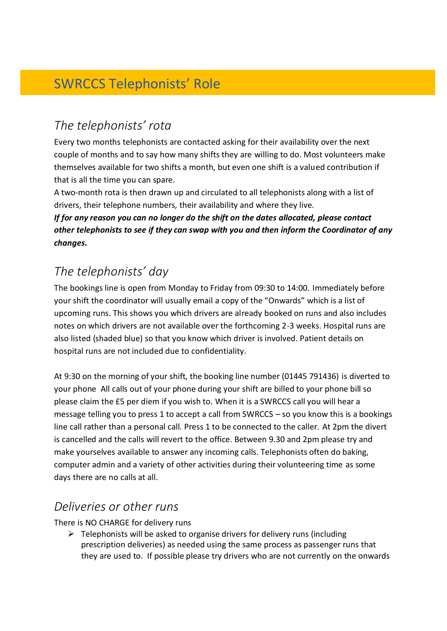# SWRCCS Telephonists' Role

## *The telephonists' rota*

Every two months telephonists are contacted asking for their availability over the next couple of months and to say how many shifts they are willing to do. Most volunteers make themselves available for two shifts a month, but even one shift is a valued contribution if that is all the time you can spare.

A two-month rota is then drawn up and circulated to all telephonists along with a list of drivers, their telephone numbers, their availability and where they live.

*If for any reason you can no longer do the shift on the dates allocated, please contact other telephonists to see if they can swap with you and then inform the Coordinator of any changes.* 

## *The telephonists' day*

The bookings line is open from Monday to Friday from 09:30 to 14:00. Immediately before your shift the coordinator will usually email a copy of the "Onwards" which is a list of upcoming runs. This shows you which drivers are already booked on runs and also includes notes on which drivers are not available over the forthcoming 2-3 weeks. Hospital runs are also listed (shaded blue) so that you know which driver is involved. Patient details on hospital runs are not included due to confidentiality.

At 9:30 on the morning of your shift, the booking line number (01445 791436) is diverted to your phone All calls out of your phone during your shift are billed to your phone bill so please claim the £5 per diem if you wish to. When it is a SWRCCS call you will hear a message telling you to press 1 to accept a call from SWRCCS – so you know this is a bookings line call rather than a personal call. Press 1 to be connected to the caller. At 2pm the divert is cancelled and the calls will revert to the office. Between 9.30 and 2pm please try and make yourselves available to answer any incoming calls. Telephonists often do baking, computer admin and a variety of other activities during their volunteering time as some days there are no calls at all.

### *Deliveries or other runs*

There is NO CHARGE for delivery runs

 $\triangleright$  Telephonists will be asked to organise drivers for delivery runs (including prescription deliveries) as needed using the same process as passenger runs that they are used to. If possible please try drivers who are not currently on the onwards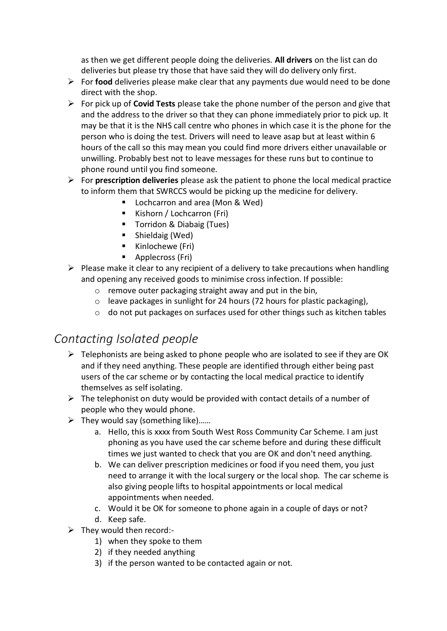as then we get different people doing the deliveries. **All drivers** on the list can do deliveries but please try those that have said they will do delivery only first.

- ➢ For **food** deliveries please make clear that any payments due would need to be done direct with the shop.
- ➢ For pick up of **Covid Tests** please take the phone number of the person and give that and the address to the driver so that they can phone immediately prior to pick up. It may be that it is the NHS call centre who phones in which case it is the phone for the person who is doing the test. Drivers will need to leave asap but at least within 6 hours of the call so this may mean you could find more drivers either unavailable or unwilling. Probably best not to leave messages for these runs but to continue to phone round until you find someone.
- ➢ For **prescription deliveries** please ask the patient to phone the local medical practice to inform them that SWRCCS would be picking up the medicine for delivery.
	- Lochcarron and area (Mon & Wed)
	- Kishorn / Lochcarron (Fri)
	- Torridon & Diabaig (Tues)
	- Shieldaig (Wed)
	- Kinlochewe (Fri)
	- Applecross (Fri)
- $\triangleright$  Please make it clear to any recipient of a delivery to take precautions when handling and opening any received goods to minimise cross infection. If possible:
	- o remove outer packaging straight away and put in the bin,
	- o leave packages in sunlight for 24 hours (72 hours for plastic packaging),
	- o do not put packages on surfaces used for other things such as kitchen tables

### *Contacting Isolated people*

- $\triangleright$  Telephonists are being asked to phone people who are isolated to see if they are OK and if they need anything. These people are identified through either being past users of the car scheme or by contacting the local medical practice to identify themselves as self isolating.
- $\triangleright$  The telephonist on duty would be provided with contact details of a number of people who they would phone.
- $\triangleright$  They would say (something like)......
	- a. Hello, this is xxxx from South West Ross Community Car Scheme. I am just phoning as you have used the car scheme before and during these difficult times we just wanted to check that you are OK and don't need anything.
	- b. We can deliver prescription medicines or food if you need them, you just need to arrange it with the local surgery or the local shop. The car scheme is also giving people lifts to hospital appointments or local medical appointments when needed.
	- c. Would it be OK for someone to phone again in a couple of days or not?
	- d. Keep safe.
- ➢ They would then record:-
	- 1) when they spoke to them
	- 2) if they needed anything
	- 3) if the person wanted to be contacted again or not.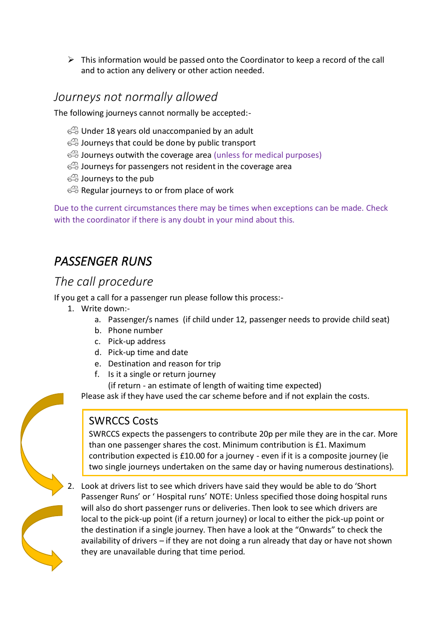$\triangleright$  This information would be passed onto the Coordinator to keep a record of the call and to action any delivery or other action needed.

#### *Journeys not normally allowed*

The following journeys cannot normally be accepted:-

- Under 18 years old unaccompanied by an adult
- $\triangle$  Journeys that could be done by public transport
- Journeys outwith the coverage area (unless for medical purposes)
- **B** Journeys for passengers not resident in the coverage area
- Journeys to the pub
- Regular journeys to or from place of work

Due to the current circumstances there may be times when exceptions can be made. Check with the coordinator if there is any doubt in your mind about this.

## *PASSENGER RUNS*

### *The call procedure*

If you get a call for a passenger run please follow this process:-

- 1. Write down:
	- a. Passenger/s names (if child under 12, passenger needs to provide child seat)
	- b. Phone number
	- c. Pick-up address
	- d. Pick-up time and date
	- e. Destination and reason for trip
	- f. Is it a single or return journey
		- (if return an estimate of length of waiting time expected)

Please ask if they have used the car scheme before and if not explain the costs.

#### SWRCCS Costs

SWRCCS expects the passengers to contribute 20p per mile they are in the car. More than one passenger shares the cost. Minimum contribution is £1. Maximum contribution expected is £10.00 for a journey - even if it is a composite journey (ie two single journeys undertaken on the same day or having numerous destinations).

2. Look at drivers list to see which drivers have said they would be able to do 'Short Passenger Runs' or ' Hospital runs' NOTE: Unless specified those doing hospital runs will also do short passenger runs or deliveries. Then look to see which drivers are local to the pick-up point (if a return journey) or local to either the pick-up point or the destination if a single journey. Then have a look at the "Onwards" to check the availability of drivers – if they are not doing a run already that day or have not shown they are unavailable during that time period.